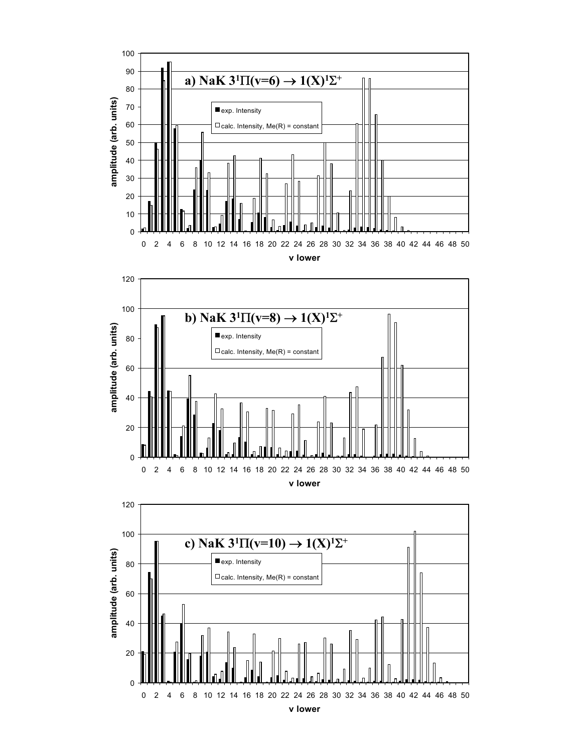



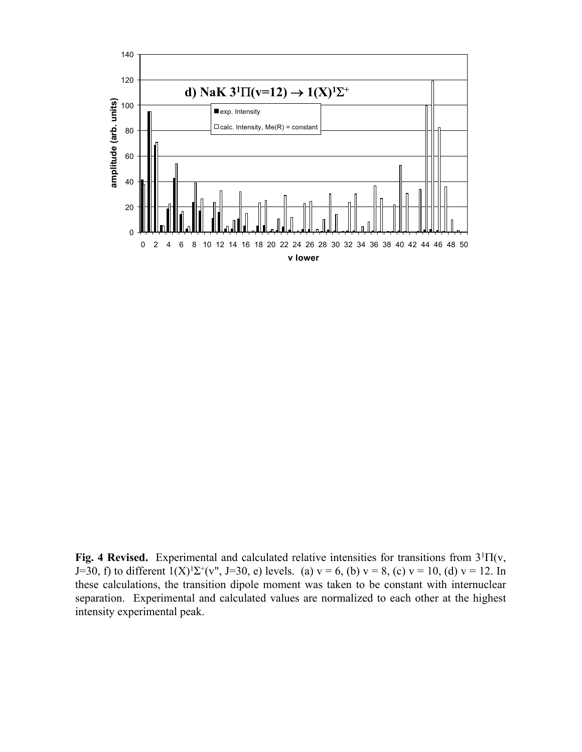

Fig. 4 Revised. Experimental and calculated relative intensities for transitions from 3<sup>1</sup>Π(v, J=30, f) to different  $1(X)^{1}\Sigma^{+}(v^{n})$ , J=30, e) levels. (a)  $v = 6$ , (b)  $v = 8$ , (c)  $v = 10$ , (d)  $v = 12$ . In these calculations, the transition dipole moment was taken to be constant with internuclear separation. Experimental and calculated values are normalized to each other at the highest intensity experimental peak.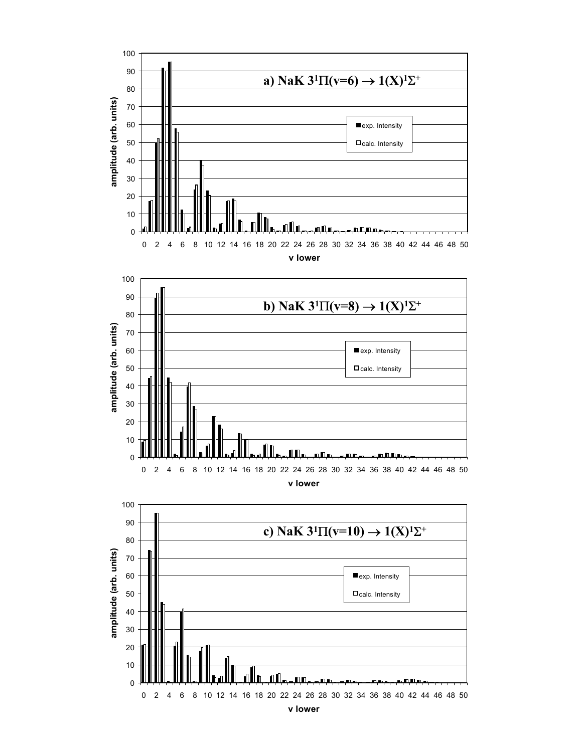

0 2 4 6 8 10 12 14 16 18 20 22 24 26 28 30 32 34 36 38 40 42 44 46 48 50